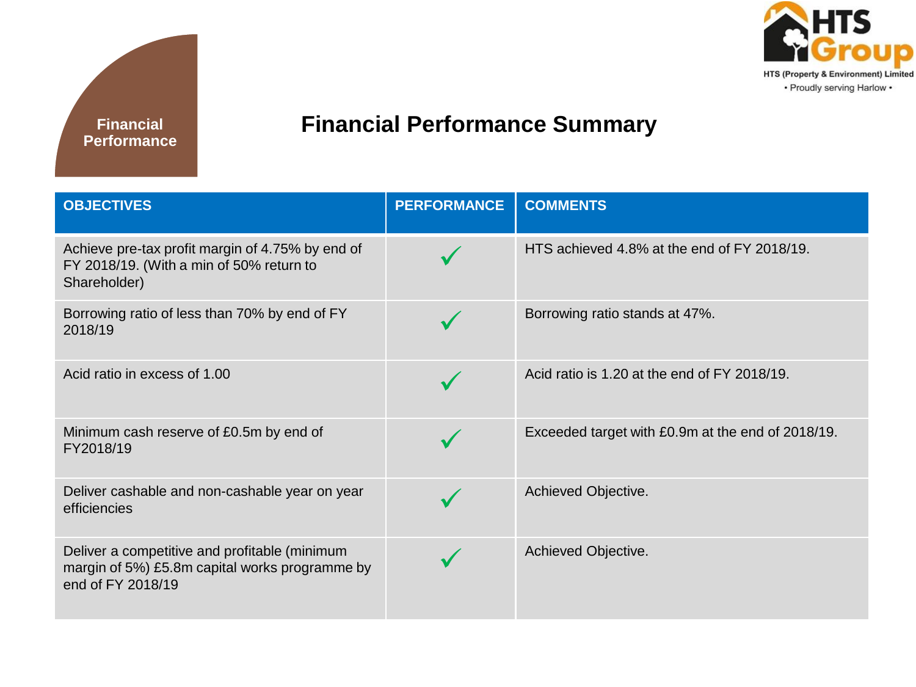



## **Financial Performance Summary**

| <b>OBJECTIVES</b>                                                                                                    | <b>PERFORMANCE</b> | <b>COMMENTS</b>                                   |
|----------------------------------------------------------------------------------------------------------------------|--------------------|---------------------------------------------------|
| Achieve pre-tax profit margin of 4.75% by end of<br>FY 2018/19. (With a min of 50% return to<br>Shareholder)         |                    | HTS achieved 4.8% at the end of FY 2018/19.       |
| Borrowing ratio of less than 70% by end of FY<br>2018/19                                                             |                    | Borrowing ratio stands at 47%.                    |
| Acid ratio in excess of 1.00                                                                                         |                    | Acid ratio is 1.20 at the end of FY 2018/19.      |
| Minimum cash reserve of £0.5m by end of<br>FY2018/19                                                                 |                    | Exceeded target with £0.9m at the end of 2018/19. |
| Deliver cashable and non-cashable year on year<br>efficiencies                                                       |                    | Achieved Objective.                               |
| Deliver a competitive and profitable (minimum<br>margin of 5%) £5.8m capital works programme by<br>end of FY 2018/19 |                    | Achieved Objective.                               |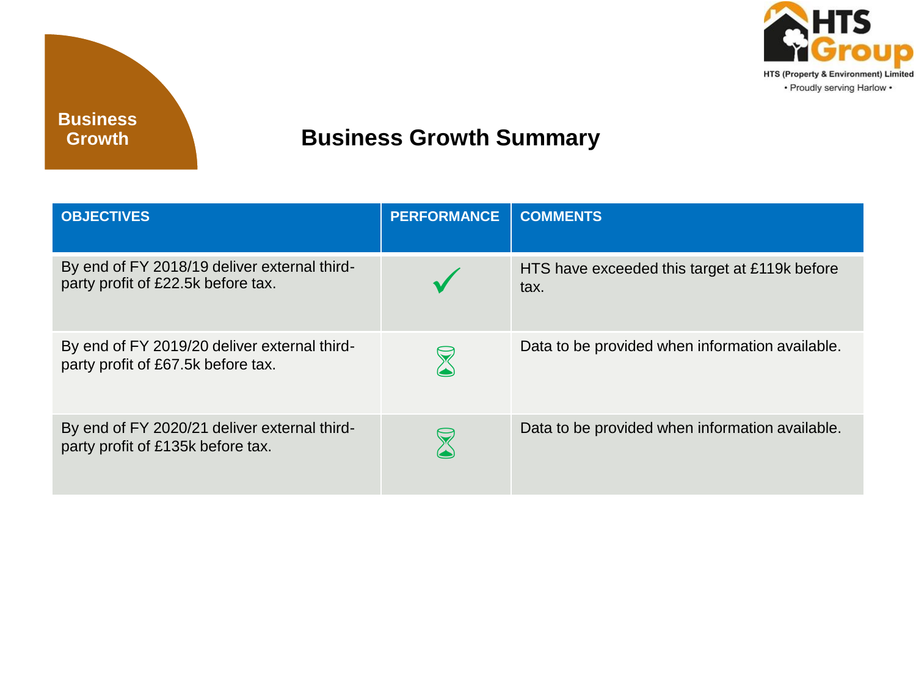

## **Business Growth Summary**

| <b>OBJECTIVES</b>                                                                  | <b>PERFORMANCE</b> | <b>COMMENTS</b>                                       |
|------------------------------------------------------------------------------------|--------------------|-------------------------------------------------------|
| By end of FY 2018/19 deliver external third-<br>party profit of £22.5k before tax. |                    | HTS have exceeded this target at £119k before<br>tax. |
| By end of FY 2019/20 deliver external third-<br>party profit of £67.5k before tax. |                    | Data to be provided when information available.       |
| By end of FY 2020/21 deliver external third-<br>party profit of £135k before tax.  |                    | Data to be provided when information available.       |